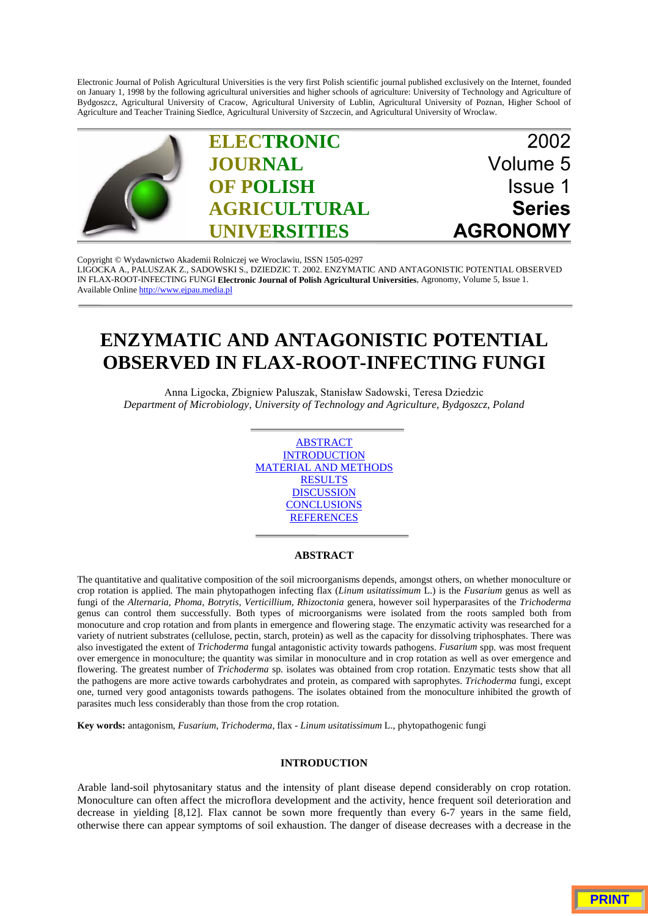Electronic Journal of Polish Agricultural Universities is the very first Polish scientific journal published exclusively on the Internet, founded on January 1, 1998 by the following agricultural universities and higher schools of agriculture: University of Technology and Agriculture of Bydgoszcz, Agricultural University of Cracow, Agricultural University of Lublin, Agricultural University of Poznan, Higher School of Agriculture and Teacher Training Siedlce, Agricultural University of Szczecin, and Agricultural University of Wroclaw.



Copyright © Wydawnictwo Akademii Rolniczej we Wroclawiu, ISSN 1505-0297 [LIGOCKA A., PALUSZAK Z., SADOWSKI S., DZIEDZIC T. 2002. ENZYMATIC AND ANTAGONISTIC POTENTIAL OBSERVED](http://www.ejpau.media.pl) IN FLAX-ROOT-INFECTING FUNGI **Electronic Journal of Polish Agricultural Universities**, Agronomy, Volume 5, Issue 1. Available Online http://www.ejpau.media.pl

# **ENZYMATIC AND ANTAGONISTIC POTENTIAL OBSERVED IN FLAX-ROOT-INFECTING FUNGI**

Anna Ligocka, Zbigniew Paluszak, Stanisław Sadowski, Teresa Dziedzic *Department of Microbiology, University of Technology and Agriculture, Bydgoszcz, Poland*

> ABSTRACT **INTRODUCTION** MATERIAL AND METHODS **RESULTS DISCUSSION CONCLUSIONS REFERENCES**

## **ABSTRACT**

The quantitative and qualitative composition of the soil microorganisms depends, amongst others, on whether monoculture or crop rotation is applied. The main phytopathogen infecting flax (*Linum usitatissimum* L.) is the *Fusarium* genus as well as fungi of the *Alternaria, Phoma, Botrytis*, *Verticillium, Rhizoctonia* genera, however soil hyperparasites of the *Trichoderma* genus can control them successfully. Both types of microorganisms were isolated from the roots sampled both from monocuture and crop rotation and from plants in emergence and flowering stage. The enzymatic activity was researched for a variety of nutrient substrates (cellulose, pectin, starch, protein) as well as the capacity for dissolving triphosphates. There was also investigated the extent of *Trichoderma* fungal antagonistic activity towards pathogens. *Fusarium* spp. was most frequent over emergence in monoculture; the quantity was similar in monoculture and in crop rotation as well as over emergence and flowering. The greatest number of *Trichoderma* sp. isolates was obtained from crop rotation. Enzymatic tests show that all the pathogens are more active towards carbohydrates and protein, as compared with saprophytes. *Trichoderma* fungi, except one, turned very good antagonists towards pathogens. The isolates obtained from the monoculture inhibited the growth of parasites much less considerably than those from the crop rotation.

**Key words:** antagonism, *Fusarium, Trichoderma*, flax - *Linum usitatissimum* L., phytopathogenic fungi

### **INTRODUCTION**

Arable land-soil phytosanitary status and the intensity of plant disease depend considerably on crop rotation. Monoculture can often affect the microflora development and the activity, hence frequent soil deterioration and decrease in yielding [8,12]. Flax cannot be sown more frequently than every 6-7 years in the same field, otherwise there can appear symptoms of soil exhaustion. The danger of disease decreases with a decrease in the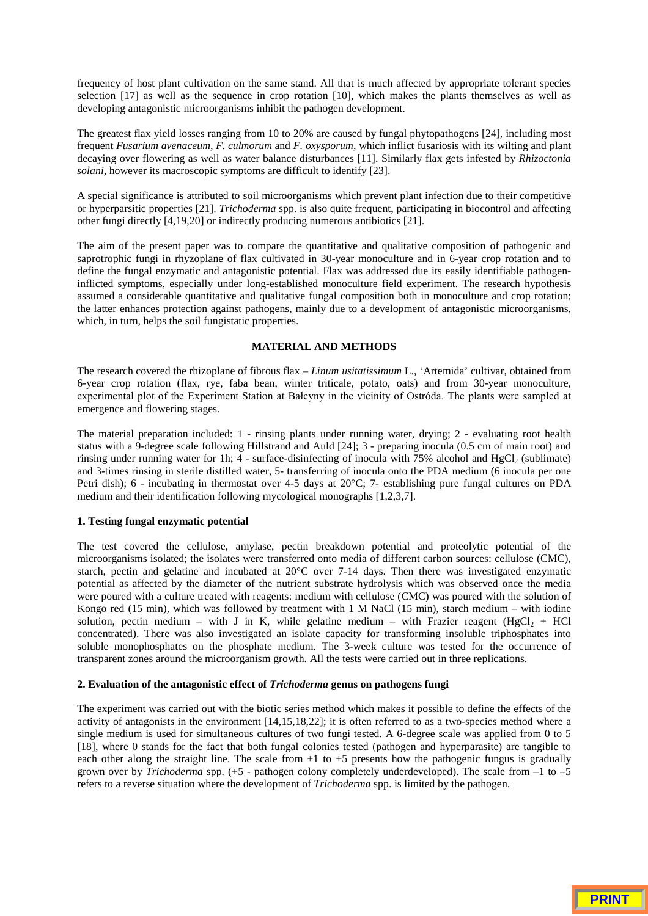frequency of host plant cultivation on the same stand. All that is much affected by appropriate tolerant species selection [17] as well as the sequence in crop rotation [10], which makes the plants themselves as well as developing antagonistic microorganisms inhibit the pathogen development.

The greatest flax yield losses ranging from 10 to 20% are caused by fungal phytopathogens [24], including most frequent *Fusarium avenaceum, F. culmorum* and *F. oxysporum*, which inflict fusariosis with its wilting and plant decaying over flowering as well as water balance disturbances [11]. Similarly flax gets infested by *Rhizoctonia solani*, however its macroscopic symptoms are difficult to identify [23].

A special significance is attributed to soil microorganisms which prevent plant infection due to their competitive or hyperparsitic properties [21]. *Trichoderma* spp. is also quite frequent, participating in biocontrol and affecting other fungi directly [4,19,20] or indirectly producing numerous antibiotics [21].

The aim of the present paper was to compare the quantitative and qualitative composition of pathogenic and saprotrophic fungi in rhyzoplane of flax cultivated in 30-year monoculture and in 6-year crop rotation and to define the fungal enzymatic and antagonistic potential. Flax was addressed due its easily identifiable pathogeninflicted symptoms, especially under long-established monoculture field experiment. The research hypothesis assumed a considerable quantitative and qualitative fungal composition both in monoculture and crop rotation; the latter enhances protection against pathogens, mainly due to a development of antagonistic microorganisms, which, in turn, helps the soil fungistatic properties.

## **MATERIAL AND METHODS**

The research covered the rhizoplane of fibrous flax – *Linum usitatissimum* L., 'Artemida' cultivar, obtained from 6-year crop rotation (flax, rye, faba bean, winter triticale, potato, oats) and from 30-year monoculture, experimental plot of the Experiment Station at Bałcyny in the vicinity of Ostróda. The plants were sampled at emergence and flowering stages.

The material preparation included: 1 - rinsing plants under running water, drying; 2 - evaluating root health status with a 9-degree scale following Hillstrand and Auld [24]; 3 - preparing inocula (0.5 cm of main root) and rinsing under running water for 1h;  $\overline{4}$  - surface-disinfecting of inocula with 75% alcohol and HgCl<sub>2</sub> (sublimate) and 3-times rinsing in sterile distilled water, 5- transferring of inocula onto the PDA medium (6 inocula per one Petri dish); 6 - incubating in thermostat over 4-5 days at 20°C; 7- establishing pure fungal cultures on PDA medium and their identification following mycological monographs [1,2,3,7].

# **1. Testing fungal enzymatic potential**

The test covered the cellulose, amylase, pectin breakdown potential and proteolytic potential of the microorganisms isolated; the isolates were transferred onto media of different carbon sources: cellulose (CMC), starch, pectin and gelatine and incubated at 20°C over 7-14 days. Then there was investigated enzymatic potential as affected by the diameter of the nutrient substrate hydrolysis which was observed once the media were poured with a culture treated with reagents: medium with cellulose (CMC) was poured with the solution of Kongo red (15 min), which was followed by treatment with 1 M NaCl (15 min), starch medium – with iodine solution, pectin medium – with J in K, while gelatine medium – with Frazier reagent ( $HgCl<sub>2</sub> + HCl$ concentrated). There was also investigated an isolate capacity for transforming insoluble triphosphates into soluble monophosphates on the phosphate medium. The 3-week culture was tested for the occurrence of transparent zones around the microorganism growth. All the tests were carried out in three replications.

## **2. Evaluation of the antagonistic effect of** *Trichoderma* **genus on pathogens fungi**

The experiment was carried out with the biotic series method which makes it possible to define the effects of the activity of antagonists in the environment [14,15,18,22]; it is often referred to as a two-species method where a single medium is used for simultaneous cultures of two fungi tested. A 6-degree scale was applied from 0 to 5 [18], where 0 stands for the fact that both fungal colonies tested (pathogen and hyperparasite) are tangible to each other along the straight line. The scale from  $+1$  to  $+5$  presents how the pathogenic fungus is gradually grown over by *Trichoderma* spp. (+5 - pathogen colony completely underdeveloped). The scale from –1 to –5 refers to a reverse situation where the development of *Trichoderma* spp. is limited by the pathogen.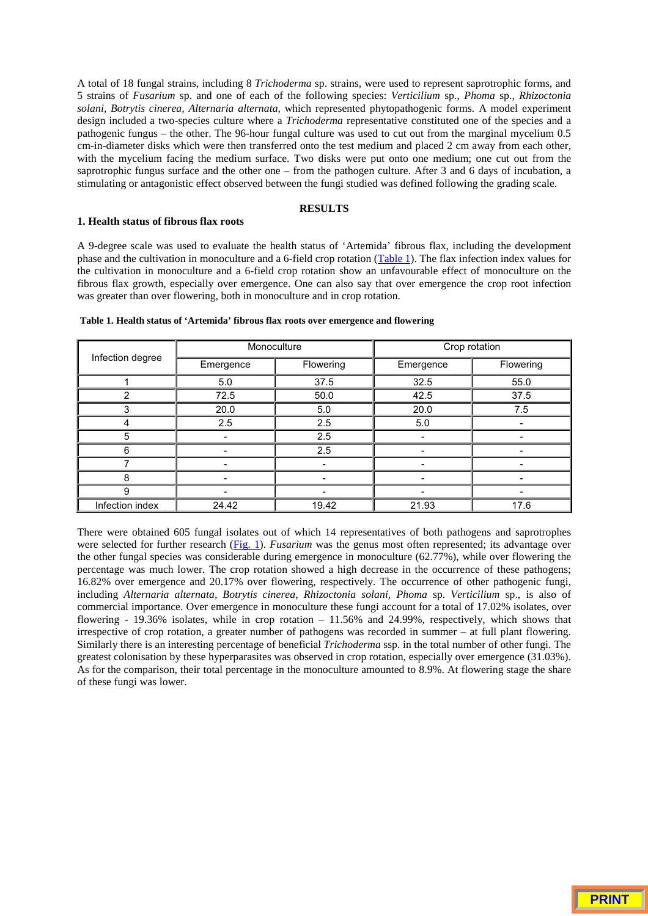A total of 18 fungal strains, including 8 *Trichoderma* sp. strains, were used to represent saprotrophic forms, and 5 strains of *Fusarium* sp. and one of each of the following species: *Verticilium* sp., *Phoma* sp., *Rhizoctonia solani, Botrytis cinerea, Alternaria alternata*, which represented phytopathogenic forms. A model experiment design included a two-species culture where a *Trichoderma* representative constituted one of the species and a pathogenic fungus – the other. The 96-hour fungal culture was used to cut out from the marginal mycelium 0.5 cm-in-diameter disks which were then transferred onto the test medium and placed 2 cm away from each other, with the mycelium facing the medium surface. Two disks were put onto one medium; one cut out from the saprotrophic fungus surface and the other one – from the pathogen culture. After 3 and 6 days of incubation, a stimulating or antagonistic effect observed between the fungi studied was defined following the grading scale.

# **RESULTS**

## **1. Health status of fibrous flax roots**

A 9-degree scale was used to evaluate the health status of 'Artemida' fibrous flax, including the development phase and the cultivation in monoculture and a 6-field crop rotation (Table 1). The flax infection index values for the cultivation in monoculture and a 6-field crop rotation show an unfavourable effect of monoculture on the fibrous flax growth, especially over emergence. One can also say that over emergence the crop root infection was greater than over flowering, both in monoculture and in crop rotation.

| Infection degree | Monoculture              |                          | Crop rotation |           |  |
|------------------|--------------------------|--------------------------|---------------|-----------|--|
|                  | Emergence                | Flowering                | Emergence     | Flowering |  |
|                  | 5.0                      | 37.5                     | 32.5          | 55.0      |  |
| 2                | 72.5                     | 50.0                     | 42.5          | 37.5      |  |
| 3                | 20.0                     | 5.0                      | 20.0          | 7.5       |  |
| 4                | 2.5                      | 2.5                      | 5.0           |           |  |
| 5                |                          | 2.5                      | -             |           |  |
| 6                |                          | 2.5                      | -             |           |  |
|                  |                          | $\overline{\phantom{0}}$ | ۰             |           |  |
| 8                |                          |                          |               |           |  |
| 9                | $\overline{\phantom{0}}$ | ۰                        | -             |           |  |
| Infection index  | 24.42                    | 19.42                    | 21.93         | 17.6      |  |

#### **Table 1. Health status of 'Artemida' fibrous flax roots over emergence and flowering**

There were obtained 605 fungal isolates out of which 14 representatives of both pathogens and saprotrophes were selected for further research (Fig. 1). *Fusarium* was the genus most often represented; its advantage over the other fungal species was considerable during emergence in monoculture (62.77%), while over flowering the percentage was much lower. The crop rotation showed a high decrease in the occurrence of these pathogens; 16.82% over emergence and 20.17% over flowering, respectively. The occurrence of other pathogenic fungi, including *Alternaria alternata, Botrytis cinerea, Rhizoctonia solani, Phoma* sp*. Verticilium* sp., is also of commercial importance. Over emergence in monoculture these fungi account for a total of 17.02% isolates, over flowering - 19.36% isolates, while in crop rotation – 11.56% and 24.99%, respectively, which shows that irrespective of crop rotation, a greater number of pathogens was recorded in summer – at full plant flowering. Similarly there is an interesting percentage of beneficial *Trichoderma* ssp. in the total number of other fungi. The greatest colonisation by these hyperparasites was observed in crop rotation, especially over emergence (31.03%). As for the comparison, their total percentage in the monoculture amounted to 8.9%. At flowering stage the share of these fungi was lower.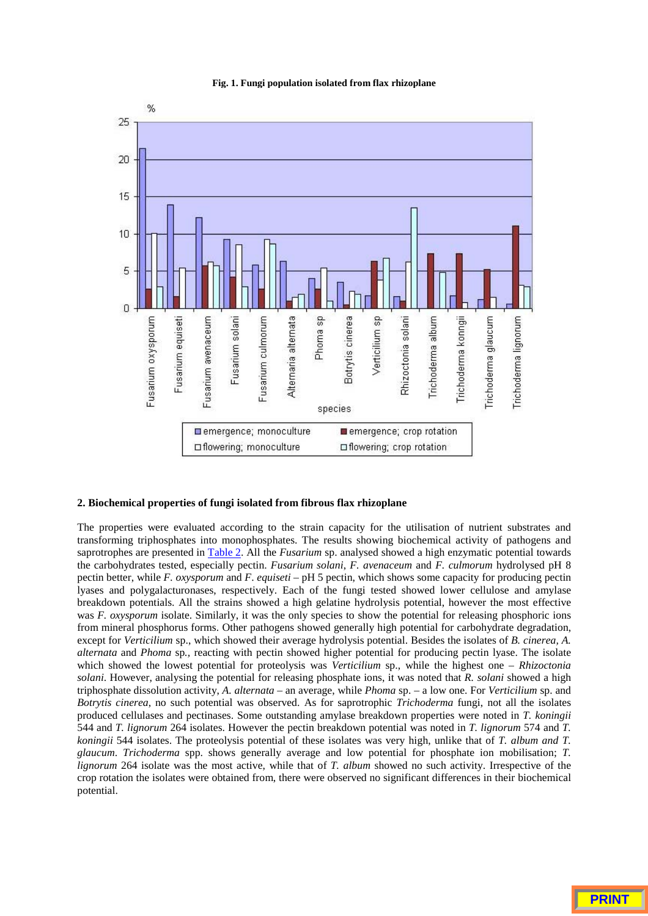## **Fig. 1. Fungi population isolated from flax rhizoplane**



#### **2. Biochemical properties of fungi isolated from fibrous flax rhizoplane**

The properties were evaluated according to the strain capacity for the utilisation of nutrient substrates and transforming triphosphates into monophosphates. The results showing biochemical activity of pathogens and saprotrophes are presented in Table 2. All the *Fusarium* sp. analysed showed a high enzymatic potential towards the carbohydrates tested, especially pectin. *Fusarium solani*, *F. avenaceum* and *F. culmorum* hydrolysed pH 8 pectin better, while *F. oxysporum* and *F*. *equiseti* – pH 5 pectin, which shows some capacity for producing pectin lyases and polygalacturonases, respectively. Each of the fungi tested showed lower cellulose and amylase breakdown potentials. All the strains showed a high gelatine hydrolysis potential, however the most effective was *F. oxysporum* isolate. Similarly, it was the only species to show the potential for releasing phosphoric ions from mineral phosphorus forms. Other pathogens showed generally high potential for carbohydrate degradation, except for *Verticilium* sp., which showed their average hydrolysis potential. Besides the isolates of *B. cinerea, A. alternata* and *Phoma* sp*.,* reacting with pectin showed higher potential for producing pectin lyase. The isolate which showed the lowest potential for proteolysis was *Verticilium* sp., while the highest one – *Rhizoctonia solani*. However, analysing the potential for releasing phosphate ions, it was noted that *R. solani* showed a high triphosphate dissolution activity, *A. alternata* – an average, while *Phoma* sp. – a low one. For *Verticilium* sp. and *Botrytis cinerea*, no such potential was observed. As for saprotrophic *Trichoderma* fungi, not all the isolates produced cellulases and pectinases. Some outstanding amylase breakdown properties were noted in *T. koningii* 544 and *T. lignorum* 264 isolates. However the pectin breakdown potential was noted in *T. lignorum* 574 and *T. koningii* 544 isolates. The proteolysis potential of these isolates was very high, unlike that of *T. album and T. glaucum*. *Trichoderma* spp. shows generally average and low potential for phosphate ion mobilisation; *T. lignorum* 264 isolate was the most active, while that of *T. album* showed no such activity. Irrespective of the crop rotation the isolates were obtained from, there were observed no significant differences in their biochemical potential.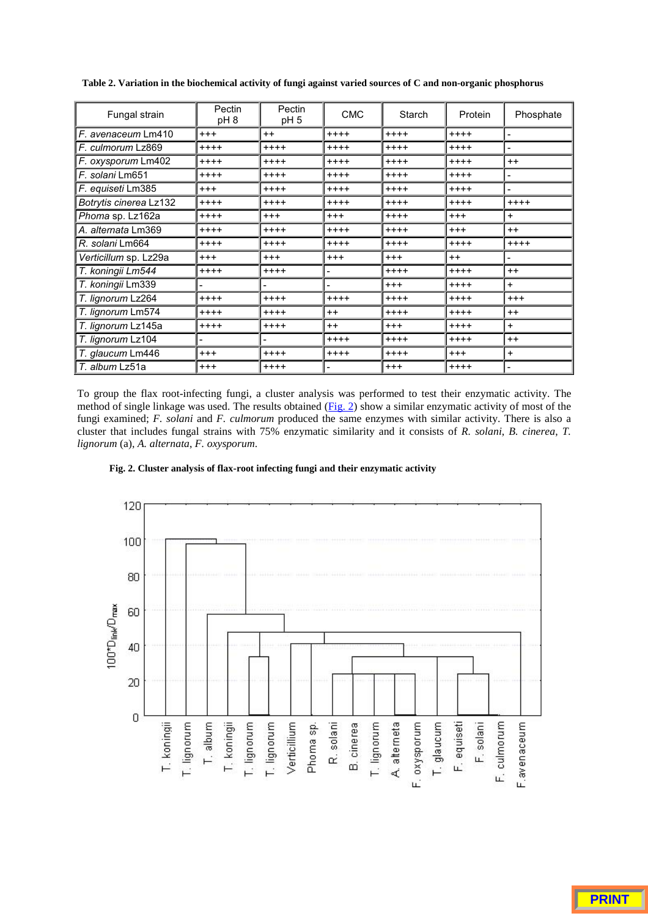| Fungal strain          | Pectin<br>pH 8           | Pectin<br>pH <sub>5</sub> | <b>CMC</b> | Starch   | Protein | Phosphate                |
|------------------------|--------------------------|---------------------------|------------|----------|---------|--------------------------|
| F. avenaceum Lm410     | $^{+++}$                 | $++$                      | $++++$     | $++++$   | $++++$  | $\overline{\phantom{a}}$ |
| F. culmorum Lz869      | $++++$                   | $++++$                    | $++++$     | $++++$   | $++++$  |                          |
| F. oxysporum Lm402     | $++++$                   | $++++$                    | $++++$     | $++++$   | $++++$  | $++$                     |
| F. solani Lm651        | $+++++$                  | $+++++$                   | $++++$     | $+++++$  | $+++++$ | $\overline{\phantom{0}}$ |
| F. equiseti Lm385      | $+++$                    | $++++$                    | $++++$     | $++++$   | $++++$  | $\overline{\phantom{0}}$ |
| Botrytis cinerea Lz132 | $++++$                   | $++++$                    | $++++$     | $++++$   | $++++$  | $++++$                   |
| Phoma sp. Lz162a       | $++++$                   | $+ + +$                   | $^{+++}$   | $++++$   | $+ + +$ | $\ddot{}$                |
| A. alternata Lm369     | $++++$                   | $++++$                    | $++++$     | $++++$   | $+++$   | $++$                     |
| R. solani Lm664        | $+++++$                  | $++++$                    | $++++$     | $++++$   | $++++$  | $++++$                   |
| Verticillum sp. Lz29a  | $^{+++}$                 | $^{+++}$                  | $^{+++}$   | $+ + +$  | $++$    |                          |
| T. koningii Lm544      | $++++$                   | $++++$                    | -          | $++++$   | $++++$  | $++$                     |
| T. koningii Lm339      | $\overline{\phantom{a}}$ | $\overline{\phantom{a}}$  | -          | $+ + +$  | $++++$  | $+$                      |
| T. lianorum Lz264      | $++++$                   | $++++$                    | $++++$     | $++++$   | $++++$  | $^{+++}$                 |
| T. lignorum Lm574      | $++++$                   | $++++$                    | $++$       | $++++$   | $++++$  | $++$                     |
| T. lignorum Lz145a     | $++++$                   | $++++$                    | $++$       | $^{+++}$ | $++++$  | $\ddot{}$                |
| T. lignorum Lz104      |                          | $\overline{\phantom{0}}$  | $++++$     | $++++$   | $++++$  | $++$                     |
| T. glaucum Lm446       | $^{+++}$                 | $++++$                    | $++++$     | $++++$   | $+ + +$ | $\ddot{}$                |
| T. album Lz51a         | $^{+++}$                 | $++++$                    |            | $+ + +$  | $++++$  | $\blacksquare$           |

**Table 2. Variation in the biochemical activity of fungi against varied sources of C and non-organic phosphorus**

To group the flax root-infecting fungi, a cluster analysis was performed to test their enzymatic activity. The method of single linkage was used. The results obtained (Fig. 2) show a similar enzymatic activity of most of the fungi examined; *F. solani* and *F. culmorum* produced the same enzymes with similar activity. There is also a cluster that includes fungal strains with 75% enzymatic similarity and it consists of *R. solani*, *B. cinerea*, *T. lignorum* (a), *A. alternata*, *F. oxysporum*.



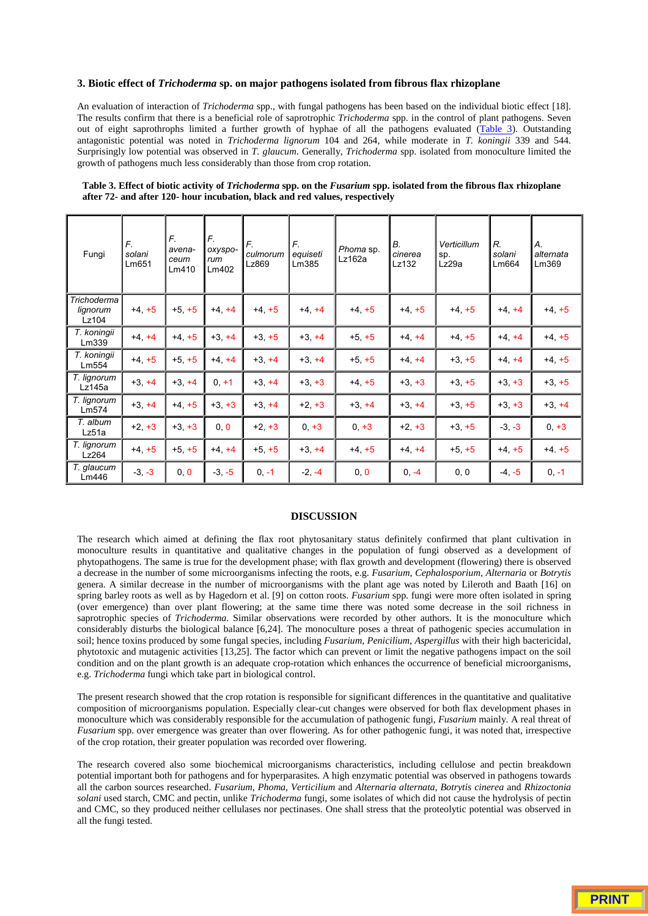#### **3. Biotic effect of** *Trichoderma* **sp. on major pathogens isolated from fibrous flax rhizoplane**

An evaluation of interaction of *Trichoderma* spp., with fungal pathogens has been based on the individual biotic effect [18]. The results confirm that there is a beneficial role of saprotrophic *Trichoderma* spp. in the control of plant pathogens. Seven out of eight saprothrophs limited a further growth of hyphae of all the pathogens evaluated (Table 3). Outstanding antagonistic potential was noted in *Trichoderma lignorum* 104 and 264, while moderate in *T. koningii* 339 and 544. Surprisingly low potential was observed in *T. glaucum*. Generally, *Trichoderma* spp. isolated from monoculture limited the growth of pathogens much less considerably than those from crop rotation.

| Fungi                            | F.<br>solani<br>Lm651 | F.<br>avena-<br>ceum<br>Lm410 | F.<br>oxyspo-<br>rum<br>Lm402 | F.<br>culmorum<br>Lz869 | F.<br>equiseti<br>Lm385 | Phoma sp.<br>Lz162a | В.<br>cinerea<br>Lz132 | Verticillum<br>sp.<br>Lz29a | R.<br>solani<br>Lm664 | А.<br>alternata<br>Lm369 |
|----------------------------------|-----------------------|-------------------------------|-------------------------------|-------------------------|-------------------------|---------------------|------------------------|-----------------------------|-----------------------|--------------------------|
| Trichoderma<br>lignorum<br>Lz104 | $+4, +5$              | $+5, +5$                      | $+4, +4$                      | $+4$ +5                 | $+4, +4$                | $+4, +5$            | $+4$ +5                | $+4$ +5                     | $+4$ , $+4$           | $+4$ , $+5$              |
| T. koningii<br>Lm339             | $+4, +4$              | $+4$ +5                       | $+3, +4$                      | $+3, +5$                | $+3$ +4                 | $+5, +5$            | $+4, +4$               | $+4$ +5                     | $+4$ , $+4$           | $+4$ , $+5$              |
| T. koningii<br>Lm554             | $+4, +5$              | $+5$ , $+5$                   | $+4$ $+4$                     | $+3, +4$                | $+3 +4$                 | $+5, +5$            | $+4$ $+4$              | $+3, +5$                    | $+4, +4$              | $+4, +5$                 |
| T. lignorum<br>Lz145a            | $+3, +4$              | $+3, +4$                      | $0, +1$                       | $+3, +4$                | $+3, +3$                | $+4$ , $+5$         | $+3, +3$               | $+3, +5$                    | $+3, +3$              | $+3, +5$                 |
| T. lignorum<br>Lm574             | $+3. +4$              | $+4, +5$                      | $+3, +3$                      | $+3, +4$                | $+2 +3$                 | $+3 +4$             | $+3 +4$                | $+3 +5$                     | $+3, +3$              | $+3, +4$                 |
| T. album<br>Lz51a                | $+2, +3$              | $+3, +3$                      | 0, 0                          | $+2, +3$                | $0, +3$                 | $0, +3$             | $+2, +3$               | $+3, +5$                    | $-3, -3$              | $0, +3$                  |
| T. lignorum<br>Lz264             | $+4$ $+5$             | $+5$ , $+5$                   | $+4, +4$                      | $+5$ $+5$               | $+3. +4$                | $+4$ +5             | $+4, +4$               | $+5$ , $+5$                 | $+4, +5$              | $+4. +5$                 |
| T. glaucum<br>Lm446              | $-3, -3$              | 0, 0                          | $-3, -5$                      | $0, -1$                 | $-2, -4$                | 0, 0                | $0, -4$                | 0, 0                        | $-4, -5$              | $0, -1$                  |

#### **Table 3. Effect of biotic activity of** *Trichoderma* **spp. on the** *Fusarium* **spp. isolated from the fibrous flax rhizoplane after 72- and after 120- hour incubation, black and red values, respectively**

#### **DISCUSSION**

The research which aimed at defining the flax root phytosanitary status definitely confirmed that plant cultivation in monoculture results in quantitative and qualitative changes in the population of fungi observed as a development of phytopathogens. The same is true for the development phase; with flax growth and development (flowering) there is observed a decrease in the number of some microorganisms infecting the roots, e.g. *Fusarium*, *Cephalosporium*, *Alternaria* or *Botrytis* genera. A similar decrease in the number of microorganisms with the plant age was noted by Lileroth and Baath [16] on spring barley roots as well as by Hagedorn et al. [9] on cotton roots. *Fusarium* spp. fungi were more often isolated in spring (over emergence) than over plant flowering; at the same time there was noted some decrease in the soil richness in saprotrophic species of *Trichoderma*. Similar observations were recorded by other authors. It is the monoculture which considerably disturbs the biological balance [6,24]. The monoculture poses a threat of pathogenic species accumulation in soil; hence toxins produced by some fungal species, including *Fusarium*, *Penicilium*, *Aspergillus* with their high bactericidal, phytotoxic and mutagenic activities [13,25]. The factor which can prevent or limit the negative pathogens impact on the soil condition and on the plant growth is an adequate crop-rotation which enhances the occurrence of beneficial microorganisms, e.g. *Trichoderma* fungi which take part in biological control.

The present research showed that the crop rotation is responsible for significant differences in the quantitative and qualitative composition of microorganisms population. Especially clear-cut changes were observed for both flax development phases in monoculture which was considerably responsible for the accumulation of pathogenic fungi, *Fusarium* mainly. A real threat of *Fusarium* spp. over emergence was greater than over flowering. As for other pathogenic fungi, it was noted that, irrespective of the crop rotation, their greater population was recorded over flowering.

The research covered also some biochemical microorganisms characteristics, including cellulose and pectin breakdown potential important both for pathogens and for hyperparasites. A high enzymatic potential was observed in pathogens towards all the carbon sources researched. *Fusarium, Phoma, Verticilium* and *Alternaria alternata, Botrytis cinerea* and *Rhizoctonia solani* used starch, CMC and pectin, unlike *Trichoderma* fungi, some isolates of which did not cause the hydrolysis of pectin and CMC, so they produced neither cellulases nor pectinases. One shall stress that the proteolytic potential was observed in all the fungi tested.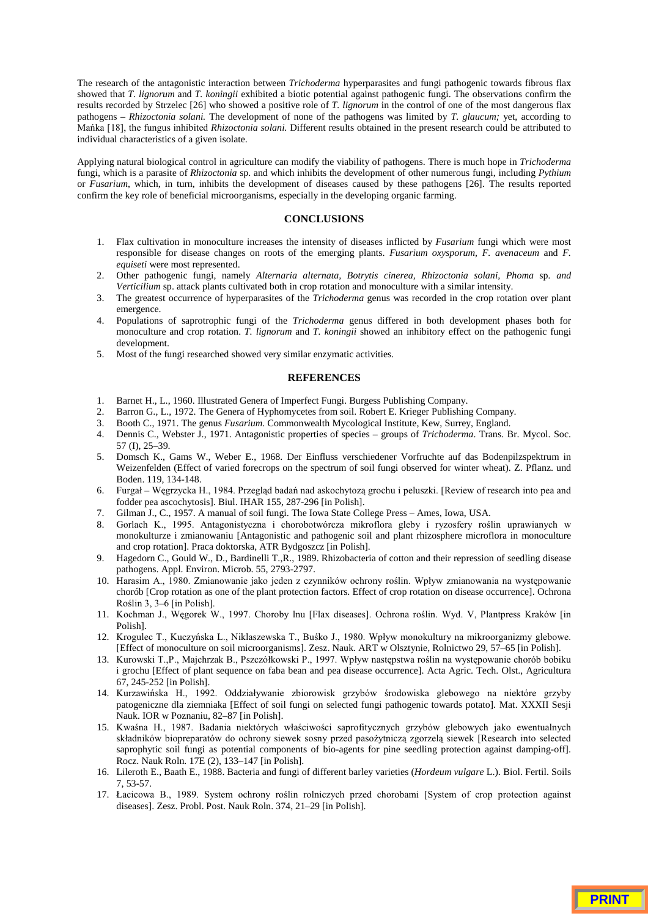The research of the antagonistic interaction between *Trichoderma* hyperparasites and fungi pathogenic towards fibrous flax showed that *T. lignorum* and *T. koningii* exhibited a biotic potential against pathogenic fungi. The observations confirm the results recorded by Strzelec [26] who showed a positive role of *T. lignorum* in the control of one of the most dangerous flax pathogens – *Rhizoctonia solani.* The development of none of the pathogens was limited by *T. glaucum;* yet, according to Mańka [18], the fungus inhibited Rhizoctonia solani. Different results obtained in the present research could be attributed to individual characteristics of a given isolate.

Applying natural biological control in agriculture can modify the viability of pathogens. There is much hope in *Trichoderma* fungi, which is a parasite of *Rhizoctonia* sp. and which inhibits the development of other numerous fungi, including *Pythium* or *Fusarium*, which, in turn, inhibits the development of diseases caused by these pathogens [26]. The results reported confirm the key role of beneficial microorganisms, especially in the developing organic farming.

#### **CONCLUSIONS**

- 1. Flax cultivation in monoculture increases the intensity of diseases inflicted by *Fusarium* fungi which were most responsible for disease changes on roots of the emerging plants. *Fusarium oxysporum, F. avenaceum* and *F. equiseti* were most represented.
- 2. Other pathogenic fungi, namely *Alternaria alternata, Botrytis cinerea, Rhizoctonia solani, Phoma* sp*. and Verticilium* sp. attack plants cultivated both in crop rotation and monoculture with a similar intensity.
- 3. The greatest occurrence of hyperparasites of the *Trichoderma* genus was recorded in the crop rotation over plant emergence.
- 4. Populations of saprotrophic fungi of the *Trichoderma* genus differed in both development phases both for monoculture and crop rotation. *T. lignorum* and *T. koningii* showed an inhibitory effect on the pathogenic fungi development.
- 5. Most of the fungi researched showed very similar enzymatic activities.

#### **REFERENCES**

- 1. Barnet H., L., 1960. Illustrated Genera of Imperfect Fungi. Burgess Publishing Company.
- 2. Barron G., L., 1972. The Genera of Hyphomycetes from soil. Robert E. Krieger Publishing Company.
- 3. Booth C., 1971. The genus *Fusarium*. Commonwealth Mycological Institute, Kew, Surrey, England.
- 4. Dennis C., Webster J., 1971. Antagonistic properties of species groups of *Trichoderma*. Trans. Br. Mycol. Soc. 57 (I), 25–39.
- 5. Domsch K., Gams W., Weber E., 1968. Der Einfluss verschiedener Vorfruchte auf das Bodenpilzspektrum in Weizenfelden (Effect of varied forecrops on the spectrum of soil fungi observed for winter wheat). Z. Pflanz. und Boden. 119, 134-148.
- 6. Furgał Węgrzycka H., 1984. Przegląd badań nad askochytozą grochu i peluszki. [Review of research into pea and fodder pea ascochytosis]. Biul. IHAR 155, 287-296 [in Polish].
- 7. Gilman J., C., 1957. A manual of soil fungi. The Iowa State College Press Ames, Iowa, USA.
- 8. Gorlach K., 1995. Antagonistyczna i chorobotwórcza mikroflora gleby i ryzosfery roślin uprawianych w monokulturze i zmianowaniu [Antagonistic and pathogenic soil and plant rhizosphere microflora in monoculture and crop rotation]. Praca doktorska, ATR Bydgoszcz [in Polish].
- 9. Hagedorn C., Gould W., D., Bardinelli T.,R., 1989. Rhizobacteria of cotton and their repression of seedling disease pathogens. Appl. Environ. Microb. 55, 2793-2797.
- 10. Harasim A., 1980. Zmianowanie jako jeden z czynników ochrony roślin. Wpływ zmianowania na występowanie chorób [Crop rotation as one of the plant protection factors. Effect of crop rotation on disease occurrence]. Ochrona Roślin 3, 3–6 [in Polish].
- 11. Kochman J., Węgorek W., 1997. Choroby lnu [Flax diseases]. Ochrona roślin. Wyd. V, Plantpress Kraków [in Polish].
- 12. Krogulec T., Kuczyńska L., Niklaszewska T., Buśko J., 1980. Wpływ monokultury na mikroorganizmy glebowe. [Effect of monoculture on soil microorganisms]. Zesz. Nauk. ART w Olsztynie, Rolnictwo 29, 57–65 [in Polish].
- 13. Kurowski T.,P., Majchrzak B., Pszczółkowski P., 1997. Wpływ następstwa roślin na występowanie chorób bobiku i grochu [Effect of plant sequence on faba bean and pea disease occurrence]. Acta Agric. Tech. Olst., Agricultura 67, 245-252 [in Polish].
- 14. Kurzawińska H., 1992. Oddziaływanie zbiorowisk grzybów środowiska glebowego na niektóre grzyby patogeniczne dla ziemniaka [Effect of soil fungi on selected fungi pathogenic towards potato]. Mat. XXXII Sesji Nauk. IOR w Poznaniu, 82–87 [in Polish].
- 15. Kwaśna H., 1987. Badania niektórych właściwości saprofitycznych grzybów glebowych jako ewentualnych składników biopreparatów do ochrony siewek sosny przed pasożytniczą zgorzelą siewek [Research into selected saprophytic soil fungi as potential components of bio-agents for pine seedling protection against damping-off]. Rocz. Nauk Roln. 17E (2), 133–147 [in Polish].
- 16. Lileroth E., Baath E., 1988. Bacteria and fungi of different barley varieties (*Hordeum vulgare* L.). Biol. Fertil. Soils 7, 53-57.
- 17. Łacicowa B., 1989. System ochrony roślin rolniczych przed chorobami [System of crop protection against diseases]. Zesz. Probl. Post. Nauk Roln. 374, 21–29 [in Polish].